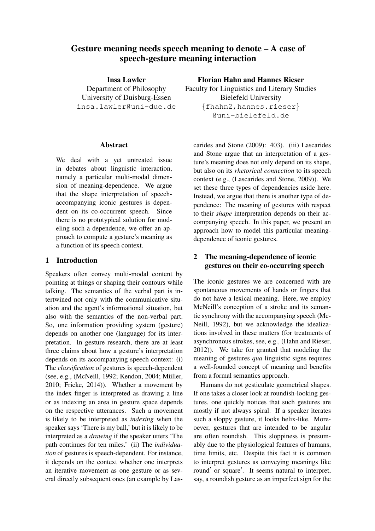# Gesture meaning needs speech meaning to denote – A case of speech-gesture meaning interaction

Insa Lawler Department of Philosophy University of Duisburg-Essen insa.lawler@uni-due.de

### Abstract

We deal with a yet untreated issue in debates about linguistic interaction, namely a particular multi-modal dimension of meaning-dependence. We argue that the shape interpretation of speechaccompanying iconic gestures is dependent on its co-occurrent speech. Since there is no prototypical solution for modeling such a dependence, we offer an approach to compute a gesture's meaning as a function of its speech context.

### 1 Introduction

Speakers often convey multi-modal content by pointing at things or shaping their contours while talking. The semantics of the verbal part is intertwined not only with the communicative situation and the agent's informational situation, but also with the semantics of the non-verbal part. So, one information providing system (gesture) depends on another one (language) for its interpretation. In gesture research, there are at least three claims about how a gesture's interpretation depends on its accompanying speech context: (i) The *classification* of gestures is speech-dependent (see, e.g., (McNeill, 1992; Kendon, 2004; Müller, 2010; Fricke, 2014)). Whether a movement by the index finger is interpreted as drawing a line or as indexing an area in gesture space depends on the respective utterances. Such a movement is likely to be interpreted as *indexing* when the speaker says 'There is my ball,' but it is likely to be interpreted as a *drawing* if the speaker utters 'The path continues for ten miles.' (ii) The *individuation* of gestures is speech-dependent. For instance, it depends on the context whether one interprets an iterative movement as one gesture or as several directly subsequent ones (an example by LasFlorian Hahn and Hannes Rieser

Faculty for Linguistics and Literary Studies Bielefeld University {fhahn2, hannes.rieser} @uni-bielefeld.de

carides and Stone (2009): 403). (iii) Lascarides and Stone argue that an interpretation of a gesture's meaning does not only depend on its shape, but also on its *rhetorical connection* to its speech context (e.g., (Lascarides and Stone, 2009)). We set these three types of dependencies aside here. Instead, we argue that there is another type of dependence: The meaning of gestures with respect to their *shape* interpretation depends on their accompanying speech. In this paper, we present an approach how to model this particular meaningdependence of iconic gestures.

# 2 The meaning-dependence of iconic gestures on their co-occurring speech

The iconic gestures we are concerned with are spontaneous movements of hands or fingers that do not have a lexical meaning. Here, we employ McNeill's conception of a stroke and its semantic synchrony with the accompanying speech (Mc-Neill, 1992), but we acknowledge the idealizations involved in these matters (for treatments of asynchronous strokes, see, e.g., (Hahn and Rieser, 2012)). We take for granted that modeling the meaning of gestures *qua* linguistic signs requires a well-founded concept of meaning and benefits from a formal semantics approach.

Humans do not gesticulate geometrical shapes. If one takes a closer look at roundish-looking gestures, one quickly notices that such gestures are mostly if not always spiral. If a speaker iterates such a sloppy gesture, it looks helix-like. Moreoever, gestures that are intended to be angular are often roundish. This sloppiness is presumably due to the physiological features of humans, time limits, etc. Despite this fact it is common to interpret gestures as conveying meanings like round' or square'. It seems natural to interpret, say, a roundish gesture as an imperfect sign for the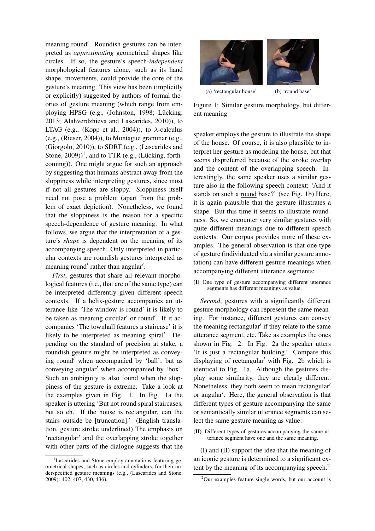meaning round'. Roundish gestures can be interpreted as *approximating* geometrical shapes like circles. If so, the gesture's speech-*independent* morphological features alone, such as its hand shape, movements, could provide the core of the gesture's meaning. This view has been (implicitly or explicitly) suggested by authors of formal theories of gesture meaning (which range from employing HPSG (e.g., (Johnston, 1998; Lücking, 2013; Alahverdzhieva and Lascarides, 2010)), to LTAG (e.g., (Kopp et al., 2004)), to  $\lambda$ -calculus (e.g., (Rieser, 2004)), to Montague grammar (e.g., (Giorgolo, 2010)), to SDRT (e.g., (Lascarides and Stone,  $2009$ )<sup>1</sup>, and to TTR (e.g., (Lücking, forthcoming)). One might argue for such an approach by suggesting that humans abstract away from the sloppiness while interpreting gestures, since most if not all gestures are sloppy. Sloppiness itself need not pose a problem (apart from the problem of exact depiction). Nonetheless, we found that the sloppiness is the reason for a specific speech-dependence of gesture meaning. In what follows, we argue that the interpretation of a gesture's *shape* is dependent on the meaning of its accompanying speech. Only interpreted in particular contexts are roundish gestures interpreted as meaning round' rather than angular'.

*First*, gestures that share all relevant morphological features (i.e., that are of the same type) can be interpreted differently given different speech contexts. If a helix-gesture accompanies an utterance like 'The window is round' it is likely to be taken as meaning circular' or round'. If it accompanies 'The townhall features a staircase' it is likely to be interpreted as meaning spiral'. Depending on the standard of precision at stake, a roundish gesture might be interpreted as conveying round' when accompanied by 'ball', but as conveying angular' when accompanied by 'box'. Such an ambiguity is also found when the sloppiness of the gesture is extreme. Take a look at the examples given in Fig. 1. In Fig. 1a the speaker is uttering 'But not round spiral staircases, but so eh. If the house is rectangular, can the stairs outside be [truncation].' (English translation, gesture stroke underlined) The emphasis on 'rectangular' and the overlapping stroke together with other parts of the dialogue suggests that the

<sup>1</sup>Lascarides and Stone employ annotations featuring geometrical shapes, such as circles and cylinders, for their underspecified gesture meanings (e.g., (Lascarides and Stone, 2009): 402, 407, 430, 436).



Figure 1: Similar gesture morphology, but different meaning

speaker employs the gesture to illustrate the shape of the house. Of course, it is also plausible to interpret her gesture as modeling the house, but that seems dispreferred because of the stroke overlap and the content of the overlapping speech. Interestingly, the same speaker uses a similar gesture also in the following speech context: 'And it stands on such a round base?' (see Fig. 1b) Here, it is again plausible that the gesture illustrates a shape. But this time it seems to illustrate roundness. So, we encounter very similar gestures with quite different meanings due to different speech contexts. Our corpus provides more of these examples. The general observation is that one type of gesture (individuated via a similar gesture annotation) can have different gesture meanings when accompanying different utterance segments:

(I) One type of gesture accompanying different utterance segments has different meanings as value.

*Second*, gestures with a significantly different gesture morphology can represent the same meaning. For instance, different gestures can convey the meaning rectangular' if they relate to the same utterance segment, etc. Take as examples the ones shown in Fig. 2. In Fig. 2a the speaker utters 'It is just a rectangular building.' Compare this displaying of rectangular' with Fig. 2b which is identical to Fig. 1a. Although the gestures display some similarity, they are clearly different. Nonetheless, they both seem to mean rectangular<sup>'</sup> or angular'. Here, the general observation is that different types of gesture accompanying the same or semantically similar utterance segments can select the same gesture meaning as value:

(II) Different types of gestures accompanying the same utterance segment have one and the same meaning.

(I) and (II) support the idea that the meaning of an iconic gesture is determined to a significant extent by the meaning of its accompanying speech.<sup>2</sup>

<sup>2</sup>Our examples feature single words, but our account is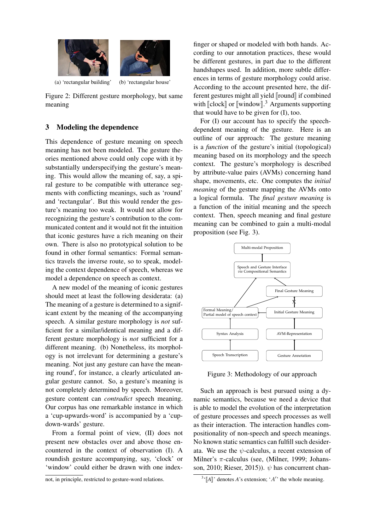

(a) 'rectangular building' (b) 'rectangular house'

Figure 2: Different gesture morphology, but same meaning

## 3 Modeling the dependence

This dependence of gesture meaning on speech meaning has not been modeled. The gesture theories mentioned above could only cope with it by substantially underspecifying the gesture's meaning. This would allow the meaning of, say, a spiral gesture to be compatible with utterance segments with conflicting meanings, such as 'round' and 'rectangular'. But this would render the gesture's meaning too weak. It would not allow for recognizing the gesture's contribution to the communicated content and it would not fit the intuition that iconic gestures have a rich meaning on their own. There is also no prototypical solution to be found in other formal semantics: Formal semantics travels the inverse route, so to speak, modeling the context dependence of speech, whereas we model a dependence on speech as context.

A new model of the meaning of iconic gestures should meet at least the following desiderata: (a) The meaning of a gesture is determined to a significant extent by the meaning of the accompanying speech. A similar gesture morphology is *not* sufficient for a similar/identical meaning and a different gesture morphology is *not* sufficient for a different meaning. (b) Nonetheless, its morphology is not irrelevant for determining a gesture's meaning. Not just any gesture can have the meaning round', for instance, a clearly articulated angular gesture cannot. So, a gesture's meaning is not completely determined by speech. Moreover, gesture content can *contradict* speech meaning. Our corpus has one remarkable instance in which a 'cup-upwards-word' is accompanied by a 'cupdown-wards' gesture.

From a formal point of view, (II) does not present new obstacles over and above those encountered in the context of observation (I). A roundish gesture accompanying, say, 'clock' or 'window' could either be drawn with one index-

not, in principle, restricted to gesture-word relations.

finger or shaped or modeled with both hands. According to our annotation practices, these would be different gestures, in part due to the different handshapes used. In addition, more subtle differences in terms of gesture morphology could arise. According to the account presented here, the different gestures might all yield  $\lbrack$  fround $\rbrack$  if combined with  $\llbracket \text{clock} \rrbracket$  or  $\llbracket \text{window} \rrbracket$ .<sup>3</sup> Arguments supporting that would have to be given for (I), too.

For (I) our account has to specify the speechdependent meaning of the gesture. Here is an outline of our approach: The gesture meaning is a *function* of the gesture's initial (topological) meaning based on its morphology and the speech context. The gesture's morphology is described by attribute-value pairs (AVMs) concerning hand shape, movements, etc. One computes the *initial meaning* of the gesture mapping the AVMs onto a logical formula. The *final gesture meaning* is a function of the initial meaning and the speech context. Then, speech meaning and final gesture meaning can be combined to gain a multi-modal proposition (see Fig. 3).



Figure 3: Methodology of our approach

Such an approach is best pursued using a dynamic semantics, because we need a device that is able to model the evolution of the interpretation of gesture processes and speech processes as well as their interaction. The interaction handles compositionality of non-speech and speech meanings. No known static semantics can fulfill such desiderata. We use the  $\psi$ -calculus, a recent extension of Milner's  $\pi$ -calculus (see, (Milner, 1999; Johansson, 2010; Rieser, 2015)).  $\psi$  has concurrent chan-

 $\mathbb{I}^3$ <sup>'</sup>[A]' denotes *A*'s extension; '*A'*' the whole meaning.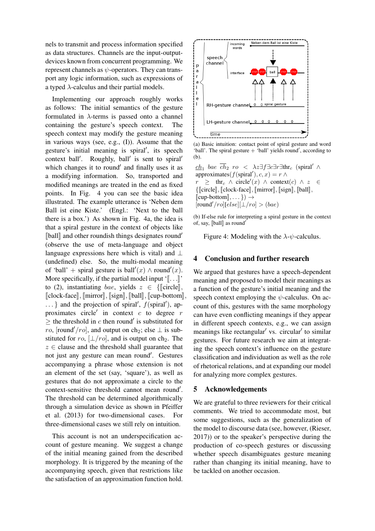nels to transmit and process information specified as data structures. Channels are the input-outputdevices known from concurrent programming. We represent channels as  $\psi$ -operators. They can transport any logic information, such as expressions of a typed  $\lambda$ -calculus and their partial models.

Implementing our approach roughly works as follows: The initial semantics of the gesture formulated in  $\lambda$ -terms is passed onto a channel containing the gesture's speech context. The speech context may modify the gesture meaning in various ways (see, e.g., (I)). Assume that the gesture's initial meaning is spiral', its speech context ball'. Roughly, ball' is sent to spiral' which changes it to round' and finally uses it as a modifying information. So, transported and modified meanings are treated in the end as fixed points. In Fig. 4 you can see the basic idea illustrated. The example utterance is 'Neben dem Ball ist eine Kiste.' (Engl.: 'Next to the ball there is a box.') As shown in Fig. 4a, the idea is that a spiral gesture in the context of objects like  $\llbracket$ ball $\rrbracket$  and other roundish things designates round<sup>'</sup> (observe the use of meta-language and object language expressions here which is vital) and  $\perp$ (undefined) else. So, the multi-modal meaning of 'ball' + spiral gesture is ball'(x)  $\wedge$  round'(x). More specifically, if the partial model input  $\langle \cdot | \cdot | \cdot | \cdot \rangle$ to (2), instantiating bae, yields  $z \in \{||\text{circle}|\}$ ,  $\llbracket \text{clock-face} \rrbracket$ ,  $\llbracket \text{mirror} \rrbracket$ ,  $\llbracket \text{sign} \rrbracket$ ,  $\llbracket \text{ball} \rrbracket$ ,  $\llbracket \text{cup-bottom} \rrbracket$ ,  $\ldots$ } and the projection of spiral',  $f$ (spiral'), approximates circle' in context  $c$  to degree  $r$  $\geq$  the threshold in c then round' is substituted for ro, [round'/ro], and output on ch<sub>2</sub>; else  $\perp$  is substituted for ro,  $\lfloor \frac{\perp}{ro} \rfloor$ , and is output on ch<sub>2</sub>. The  $z \in$  clause and the threshold shall guarantee that not just any gesture can mean round'. Gestures accompanying a phrase whose extension is not an element of the set (say, 'square'), as well as gestures that do not approximate a circle to the context-sensitive threshold cannot mean round'. The threshold can be determined algorithmically through a simulation device as shown in Pfeiffer et al. (2013) for two-dimensional cases. For three-dimensional cases we still rely on intuition.

This account is not an underspecification account of gesture meaning. We suggest a change of the initial meaning gained from the described morphology. It is triggered by the meaning of the accompanying speech, given that restrictions like the satisfaction of an approximation function hold.



(a) Basic intuition: contact point of spiral gesture and word 'ball'. The spiral gesture  $+$  'ball' yields round', according to (b).

 $\underline{ch}_1$  bae ch<sub>2</sub> ro <  $\lambda z \exists f \exists c \exists r \exists \text{thr}_c$  (spiral' ∧ approximates( $f$ (spiral'),  $c, x$ ) =  $r \wedge$  $r \geq \text{thr}_c \wedge \text{circle}'(x) \wedge \text{context}(c) \wedge z \in$  $\{\lbrack\!\lbrack\text{circle}\rbrack,\lbrack\!\lbrack\text{clock-face}\rbrack,\lbrack\!\lbrack\text{mirror}\rbrack,\lbrack\!\lbrack\text{signal}\rbrack,\lbrack\!\lbrack\text{ball}\rbrack,\lbrack\!\lbrack\text{total}\rbrack,\lbrack\!\lbrack\text{total}\rbrack,\lbrack\!\lbrack\text{total}\rbrack,\lbrack\!\lbrack\text{total}\rbrack,\lbrack\!\lbrack\text{total}\rbrack,\lbrack\!\lbrack\text{total}\rbrack,\lbrack\!\lbrack\text{total}\rbrack,\lbrack\!\lbrack\text{total}\$  $\llbracket \text{cup-bottom} \rrbracket, \dots \}$ )  $\rightarrow$  $[round'/ro][else][\perp/ro] > (bae)$ 

(b) If-else rule for interpreting a spiral gesture in the context of, say,  $\llbracket \text{ball} \rrbracket$  as round'

Figure 4: Modeling with the  $\lambda$ - $\psi$ -calculus.

### 4 Conclusion and further research

We argued that gestures have a speech-dependent meaning and proposed to model their meanings as a function of the gesture's initial meaning and the speech context employing the  $\psi$ -calculus. On account of this, gestures with the same morphology can have even conflicting meanings if they appear in different speech contexts, e.g., we can assign meanings like rectangular' vs. circular' to similar gestures. For future research we aim at integrating the speech context's influence on the gesture classification and individuation as well as the role of rhetorical relations, and at expanding our model for analyzing more complex gestures.

#### 5 Acknowledgements

We are grateful to three reviewers for their critical comments. We tried to accommodate most, but some suggestions, such as the generalization of the model to discourse data (see, however, (Rieser, 2017)) or to the speaker's perspective during the production of co-speech gestures or discussing whether speech disambiguates gesture meaning rather than changing its initial meaning, have to be tackled on another occasion.